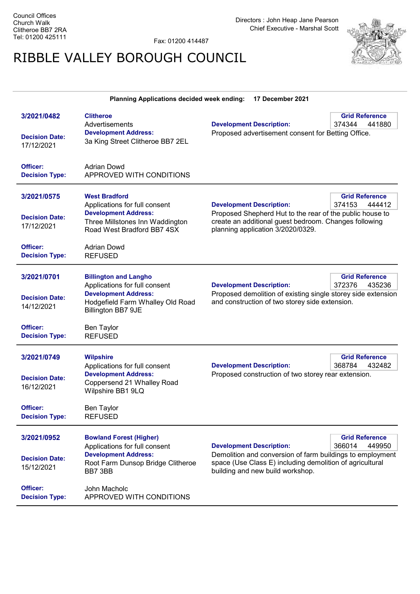Directors : John Heap Jane Pearson Chief Executive - Marshal Scott

Fax: 01200 414487

## RIBBLE VALLEY BOROUGH COUNCIL



| <b>Planning Applications decided week ending:</b><br>17 December 2021 |                                                                                                                                                        |                                                                                                                                                        |                                           |
|-----------------------------------------------------------------------|--------------------------------------------------------------------------------------------------------------------------------------------------------|--------------------------------------------------------------------------------------------------------------------------------------------------------|-------------------------------------------|
| 3/2021/0482<br><b>Decision Date:</b><br>17/12/2021                    | <b>Clitheroe</b><br>Advertisements<br><b>Development Address:</b><br>3a King Street Clitheroe BB7 2EL                                                  | <b>Development Description:</b><br>Proposed advertisement consent for Betting Office.                                                                  | <b>Grid Reference</b><br>374344<br>441880 |
| Officer:<br><b>Decision Type:</b>                                     | <b>Adrian Dowd</b><br>APPROVED WITH CONDITIONS                                                                                                         |                                                                                                                                                        |                                           |
| 3/2021/0575                                                           | <b>West Bradford</b><br>Applications for full consent                                                                                                  | <b>Development Description:</b>                                                                                                                        | <b>Grid Reference</b><br>374153<br>444412 |
| <b>Decision Date:</b><br>17/12/2021                                   | <b>Development Address:</b><br>Three Millstones Inn Waddington<br>Road West Bradford BB7 4SX                                                           | Proposed Shepherd Hut to the rear of the public house to<br>create an additional guest bedroom. Changes following<br>planning application 3/2020/0329. |                                           |
| Officer:<br><b>Decision Type:</b>                                     | <b>Adrian Dowd</b><br><b>REFUSED</b>                                                                                                                   |                                                                                                                                                        |                                           |
| 3/2021/0701<br><b>Decision Date:</b><br>14/12/2021                    | <b>Billington and Langho</b><br>Applications for full consent<br><b>Development Address:</b><br>Hodgefield Farm Whalley Old Road<br>Billington BB7 9JE | <b>Development Description:</b><br>Proposed demolition of existing single storey side extension<br>and construction of two storey side extension.      | <b>Grid Reference</b><br>372376<br>435236 |
| Officer:<br><b>Decision Type:</b>                                     | <b>Ben Taylor</b><br><b>REFUSED</b>                                                                                                                    |                                                                                                                                                        |                                           |
| 3/2021/0749<br><b>Decision Date:</b><br>16/12/2021                    | <b>Wilpshire</b><br>Applications for full consent<br><b>Development Address:</b><br>Coppersend 21 Whalley Road<br>Wilpshire BB1 9LQ                    | <b>Development Description:</b><br>Proposed construction of two storey rear extension.                                                                 | <b>Grid Reference</b><br>368784<br>432482 |
| Officer:<br><b>Decision Type:</b>                                     | <b>Ben Taylor</b><br><b>REFUSED</b>                                                                                                                    |                                                                                                                                                        |                                           |
| 3/2021/0952                                                           | <b>Bowland Forest (Higher)</b><br>Applications for full consent<br><b>Development Address:</b>                                                         | <b>Development Description:</b><br>Demolition and conversion of farm buildings to employment                                                           | <b>Grid Reference</b><br>366014<br>449950 |
| <b>Decision Date:</b><br>15/12/2021                                   | Root Farm Dunsop Bridge Clitheroe<br>BB7 3BB                                                                                                           | space (Use Class E) including demolition of agricultural<br>building and new build workshop.                                                           |                                           |
| Officer:<br><b>Decision Type:</b>                                     | John Macholc<br>APPROVED WITH CONDITIONS                                                                                                               |                                                                                                                                                        |                                           |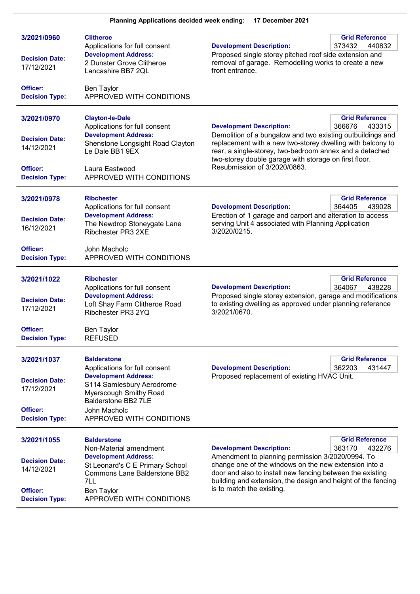| 3/2021/0960<br><b>Decision Date:</b><br>17/12/2021<br>Officer:<br><b>Decision Type:</b> | <b>Clitheroe</b><br>Applications for full consent<br><b>Development Address:</b><br>2 Dunster Grove Clitheroe<br>Lancashire BB7 2QL<br>Ben Taylor<br>APPROVED WITH CONDITIONS                                              | <b>Development Description:</b><br>Proposed single storey pitched roof side extension and<br>removal of garage. Remodelling works to create a new<br>front entrance.                                                                                                                                            | <b>Grid Reference</b><br>373432<br>440832 |
|-----------------------------------------------------------------------------------------|----------------------------------------------------------------------------------------------------------------------------------------------------------------------------------------------------------------------------|-----------------------------------------------------------------------------------------------------------------------------------------------------------------------------------------------------------------------------------------------------------------------------------------------------------------|-------------------------------------------|
| 3/2021/0970<br><b>Decision Date:</b><br>14/12/2021<br>Officer:<br><b>Decision Type:</b> | <b>Clayton-le-Dale</b><br>Applications for full consent<br><b>Development Address:</b><br>Shenstone Longsight Road Clayton<br>Le Dale BB1 9EX<br>Laura Eastwood<br>APPROVED WITH CONDITIONS                                | <b>Development Description:</b><br>Demolition of a bungalow and two existing outbuildings and<br>replacement with a new two-storey dwelling with balcony to<br>rear, a single-storey, two-bedroom annex and a detached<br>two-storey double garage with storage on first floor.<br>Resubmission of 3/2020/0863. | <b>Grid Reference</b><br>366676<br>433315 |
| 3/2021/0978<br><b>Decision Date:</b><br>16/12/2021<br>Officer:<br><b>Decision Type:</b> | <b>Ribchester</b><br>Applications for full consent<br><b>Development Address:</b><br>The Newdrop Stoneygate Lane<br>Ribchester PR3 2XE<br>John Macholc<br>APPROVED WITH CONDITIONS                                         | <b>Development Description:</b><br>Erection of 1 garage and carport and alteration to access<br>serving Unit 4 associated with Planning Application<br>3/2020/0215.                                                                                                                                             | <b>Grid Reference</b><br>364405<br>439028 |
| 3/2021/1022<br><b>Decision Date:</b><br>17/12/2021<br>Officer:<br><b>Decision Type:</b> | Ribchester<br>Applications for full consent<br><b>Development Address:</b><br>Loft Shay Farm Clitheroe Road<br>Ribchester PR3 2YQ<br>Ben Taylor<br><b>REFUSED</b>                                                          | <b>Development Description:</b><br>Proposed single storey extension, garage and modifications<br>to existing dwelling as approved under planning reference<br>3/2021/0670.                                                                                                                                      | <b>Grid Reference</b><br>364067<br>438228 |
| 3/2021/1037<br><b>Decision Date:</b><br>17/12/2021<br>Officer:<br><b>Decision Type:</b> | <b>Balderstone</b><br>Applications for full consent<br><b>Development Address:</b><br>S114 Samlesbury Aerodrome<br><b>Myerscough Smithy Road</b><br><b>Balderstone BB2 7LE</b><br>John Macholc<br>APPROVED WITH CONDITIONS | <b>Development Description:</b><br>Proposed replacement of existing HVAC Unit.                                                                                                                                                                                                                                  | <b>Grid Reference</b><br>362203<br>431447 |
| 3/2021/1055<br><b>Decision Date:</b><br>14/12/2021<br>Officer:<br><b>Decision Type:</b> | <b>Balderstone</b><br>Non-Material amendment<br><b>Development Address:</b><br>St Leonard's C E Primary School<br><b>Commons Lane Balderstone BB2</b><br>7LL<br>Ben Taylor<br>APPROVED WITH CONDITIONS                     | <b>Development Description:</b><br>Amendment to planning permission 3/2020/0994. To<br>change one of the windows on the new extension into a<br>door and also to install new fencing between the existing<br>building and extension, the design and height of the fencing<br>is to match the existing.          | <b>Grid Reference</b><br>363170<br>432276 |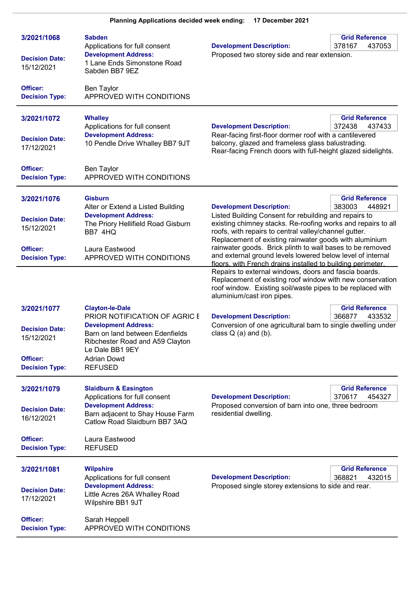| 3/2021/1068<br><b>Decision Date:</b><br>15/12/2021                                      | <b>Sabden</b><br>Applications for full consent<br><b>Development Address:</b><br>1 Lane Ends Simonstone Road<br>Sabden BB7 9EZ                                                                                          | <b>Development Description:</b><br>Proposed two storey side and rear extension.                                                                                                                                                                                                                                                                                                                        | <b>Grid Reference</b><br>378167<br>437053 |
|-----------------------------------------------------------------------------------------|-------------------------------------------------------------------------------------------------------------------------------------------------------------------------------------------------------------------------|--------------------------------------------------------------------------------------------------------------------------------------------------------------------------------------------------------------------------------------------------------------------------------------------------------------------------------------------------------------------------------------------------------|-------------------------------------------|
| Officer:<br><b>Decision Type:</b>                                                       | <b>Ben Taylor</b><br>APPROVED WITH CONDITIONS                                                                                                                                                                           |                                                                                                                                                                                                                                                                                                                                                                                                        |                                           |
| 3/2021/1072<br><b>Decision Date:</b><br>17/12/2021                                      | <b>Whalley</b><br>Applications for full consent<br><b>Development Address:</b><br>10 Pendle Drive Whalley BB7 9JT                                                                                                       | <b>Development Description:</b><br>Rear-facing first-floor dormer roof with a cantilevered<br>balcony, glazed and frameless glass balustrading.<br>Rear-facing French doors with full-height glazed sidelights.                                                                                                                                                                                        | <b>Grid Reference</b><br>372438<br>437433 |
| Officer:<br><b>Decision Type:</b>                                                       | <b>Ben Taylor</b><br>APPROVED WITH CONDITIONS                                                                                                                                                                           |                                                                                                                                                                                                                                                                                                                                                                                                        |                                           |
| 3/2021/1076<br><b>Decision Date:</b><br>15/12/2021<br>Officer:                          | <b>Gisburn</b><br>Alter or Extend a Listed Building<br><b>Development Address:</b><br>The Priory Hellifield Road Gisburn<br>BB7 4HQ<br>Laura Eastwood                                                                   | <b>Development Description:</b><br>Listed Building Consent for rebuilding and repairs to<br>existing chimney stacks. Re-roofing works and repairs to all<br>roofs, with repairs to central valley/channel gutter.<br>Replacement of existing rainwater goods with aluminium<br>rainwater goods. Brick plinth to wall bases to be removed<br>and external ground levels lowered below level of internal | <b>Grid Reference</b><br>383003<br>448921 |
| <b>Decision Type:</b>                                                                   | APPROVED WITH CONDITIONS                                                                                                                                                                                                | floors, with French drains installed to building perimeter.<br>Repairs to external windows, doors and fascia boards.<br>Replacement of existing roof window with new conservation<br>roof window. Existing soil/waste pipes to be replaced with<br>aluminium/cast iron pipes.                                                                                                                          |                                           |
| 3/2021/1077<br><b>Decision Date:</b><br>15/12/2021<br>Officer:<br><b>Decision Type:</b> | <b>Clayton-le-Dale</b><br>PRIOR NOTIFICATION OF AGRIC E<br><b>Development Address:</b><br>Barn on land between Edenfields<br>Ribchester Road and A59 Clayton<br>Le Dale BB1 9EY<br><b>Adrian Dowd</b><br><b>REFUSED</b> | <b>Development Description:</b><br>Conversion of one agricultural barn to single dwelling under<br>class $Q$ (a) and (b).                                                                                                                                                                                                                                                                              | <b>Grid Reference</b><br>366877<br>433532 |
| 3/2021/1079<br><b>Decision Date:</b><br>16/12/2021<br>Officer:                          | <b>Slaidburn &amp; Easington</b><br>Applications for full consent<br><b>Development Address:</b><br>Barn adjacent to Shay House Farm<br>Catlow Road Slaidburn BB7 3AQ<br>Laura Eastwood                                 | <b>Development Description:</b><br>Proposed conversion of barn into one, three bedroom<br>residential dwelling.                                                                                                                                                                                                                                                                                        | <b>Grid Reference</b><br>370617<br>454327 |
| <b>Decision Type:</b>                                                                   | <b>REFUSED</b>                                                                                                                                                                                                          |                                                                                                                                                                                                                                                                                                                                                                                                        |                                           |
| 3/2021/1081<br><b>Decision Date:</b><br>17/12/2021                                      | <b>Wilpshire</b><br>Applications for full consent<br><b>Development Address:</b><br>Little Acres 26A Whalley Road<br>Wilpshire BB1 9JT                                                                                  | <b>Development Description:</b><br>Proposed single storey extensions to side and rear.                                                                                                                                                                                                                                                                                                                 | <b>Grid Reference</b><br>432015<br>368821 |
| Officer:<br><b>Decision Type:</b>                                                       | Sarah Heppell<br>APPROVED WITH CONDITIONS                                                                                                                                                                               |                                                                                                                                                                                                                                                                                                                                                                                                        |                                           |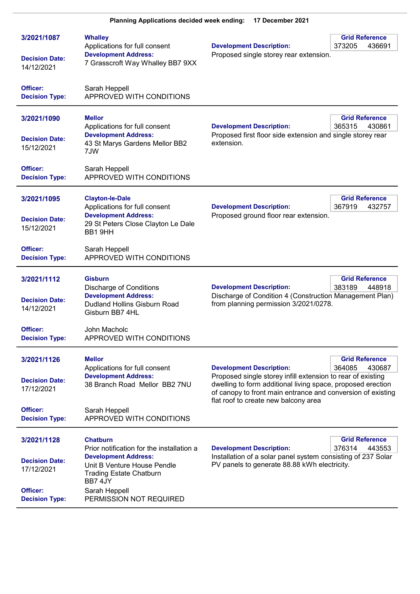| 3/2021/1087<br><b>Decision Date:</b><br>14/12/2021                                      | <b>Whalley</b><br>Applications for full consent<br><b>Development Address:</b><br>7 Grasscroft Way Whalley BB7 9XX                                                                                                  | <b>Development Description:</b><br>Proposed single storey rear extension.                                                                                                                                                                                                                | <b>Grid Reference</b><br>373205<br>436691 |
|-----------------------------------------------------------------------------------------|---------------------------------------------------------------------------------------------------------------------------------------------------------------------------------------------------------------------|------------------------------------------------------------------------------------------------------------------------------------------------------------------------------------------------------------------------------------------------------------------------------------------|-------------------------------------------|
| Officer:<br><b>Decision Type:</b>                                                       | Sarah Heppell<br>APPROVED WITH CONDITIONS                                                                                                                                                                           |                                                                                                                                                                                                                                                                                          |                                           |
| 3/2021/1090<br><b>Decision Date:</b><br>15/12/2021                                      | <b>Mellor</b><br>Applications for full consent<br><b>Development Address:</b><br>43 St Marys Gardens Mellor BB2<br>7JW                                                                                              | <b>Development Description:</b><br>Proposed first floor side extension and single storey rear<br>extension.                                                                                                                                                                              | <b>Grid Reference</b><br>365315<br>430861 |
| Officer:<br><b>Decision Type:</b>                                                       | Sarah Heppell<br>APPROVED WITH CONDITIONS                                                                                                                                                                           |                                                                                                                                                                                                                                                                                          |                                           |
| 3/2021/1095<br><b>Decision Date:</b><br>15/12/2021                                      | <b>Clayton-le-Dale</b><br>Applications for full consent<br><b>Development Address:</b><br>29 St Peters Close Clayton Le Dale<br>BB1 9HH                                                                             | <b>Development Description:</b><br>Proposed ground floor rear extension.                                                                                                                                                                                                                 | <b>Grid Reference</b><br>367919<br>432757 |
| Officer:<br><b>Decision Type:</b>                                                       | Sarah Heppell<br>APPROVED WITH CONDITIONS                                                                                                                                                                           |                                                                                                                                                                                                                                                                                          |                                           |
| 3/2021/1112<br><b>Decision Date:</b><br>14/12/2021<br>Officer:<br><b>Decision Type:</b> | <b>Gisburn</b><br><b>Discharge of Conditions</b><br><b>Development Address:</b><br><b>Dudland Hollins Gisburn Road</b><br>Gisburn BB7 4HL<br>John Macholc<br>APPROVED WITH CONDITIONS                               | <b>Development Description:</b><br>Discharge of Condition 4 (Construction Management Plan)<br>from planning permission 3/2021/0278.                                                                                                                                                      | <b>Grid Reference</b><br>383189<br>448918 |
| 3/2021/1126                                                                             | <b>Mellor</b>                                                                                                                                                                                                       |                                                                                                                                                                                                                                                                                          | <b>Grid Reference</b>                     |
| <b>Decision Date:</b><br>17/12/2021                                                     | Applications for full consent<br><b>Development Address:</b><br>38 Branch Road Mellor BB2 7NU                                                                                                                       | <b>Development Description:</b><br>364085<br>430687<br>Proposed single storey infill extension to rear of existing<br>dwelling to form additional living space, proposed erection<br>of canopy to front main entrance and conversion of existing<br>flat roof to create new balcony area |                                           |
| Officer:<br><b>Decision Type:</b>                                                       | Sarah Heppell<br>APPROVED WITH CONDITIONS                                                                                                                                                                           |                                                                                                                                                                                                                                                                                          |                                           |
| 3/2021/1128<br><b>Decision Date:</b><br>17/12/2021<br>Officer:<br><b>Decision Type:</b> | <b>Chatburn</b><br>Prior notification for the installation a<br><b>Development Address:</b><br>Unit B Venture House Pendle<br><b>Trading Estate Chatburn</b><br>BB7 4JY<br>Sarah Heppell<br>PERMISSION NOT REQUIRED | <b>Development Description:</b><br>Installation of a solar panel system consisting of 237 Solar<br>PV panels to generate 88.88 kWh electricity.                                                                                                                                          | <b>Grid Reference</b><br>376314<br>443553 |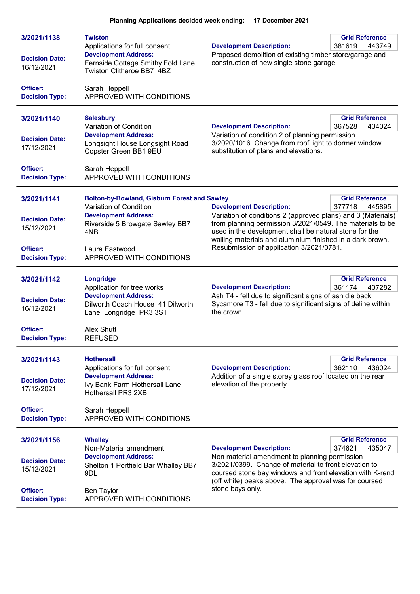| 3/2021/1138<br><b>Decision Date:</b><br>16/12/2021 | <b>Twiston</b><br>Applications for full consent<br><b>Development Address:</b><br>Fernside Cottage Smithy Fold Lane<br>Twiston Clitheroe BB7 4BZ | <b>Development Description:</b><br>Proposed demolition of existing timber store/garage and<br>construction of new single stone garage                                                                                                                                                        | <b>Grid Reference</b><br>381619<br>443749 |
|----------------------------------------------------|--------------------------------------------------------------------------------------------------------------------------------------------------|----------------------------------------------------------------------------------------------------------------------------------------------------------------------------------------------------------------------------------------------------------------------------------------------|-------------------------------------------|
| Officer:<br><b>Decision Type:</b>                  | Sarah Heppell<br>APPROVED WITH CONDITIONS                                                                                                        |                                                                                                                                                                                                                                                                                              |                                           |
| 3/2021/1140<br><b>Decision Date:</b><br>17/12/2021 | <b>Salesbury</b><br>Variation of Condition<br><b>Development Address:</b><br>Longsight House Longsight Road                                      | <b>Development Description:</b><br>Variation of condition 2 of planning permission<br>3/2020/1016. Change from roof light to dormer window                                                                                                                                                   | <b>Grid Reference</b><br>367528<br>434024 |
| Officer:<br><b>Decision Type:</b>                  | Copster Green BB1 9EU<br>Sarah Heppell<br>APPROVED WITH CONDITIONS                                                                               | substitution of plans and elevations.                                                                                                                                                                                                                                                        |                                           |
| 3/2021/1141                                        | <b>Bolton-by-Bowland, Gisburn Forest and Sawley</b><br>Variation of Condition                                                                    | <b>Development Description:</b>                                                                                                                                                                                                                                                              | <b>Grid Reference</b><br>377718<br>445895 |
| <b>Decision Date:</b><br>15/12/2021                | <b>Development Address:</b><br>Riverside 5 Browgate Sawley BB7<br>4NB                                                                            | Variation of conditions 2 (approved plans) and 3 (Materials)<br>from planning permission 3/2021/0549. The materials to be<br>used in the development shall be natural stone for the<br>walling materials and aluminium finished in a dark brown.<br>Resubmission of application 3/2021/0781. |                                           |
| Officer:<br><b>Decision Type:</b>                  | Laura Eastwood<br>APPROVED WITH CONDITIONS                                                                                                       |                                                                                                                                                                                                                                                                                              |                                           |
| 3/2021/1142<br><b>Decision Date:</b><br>16/12/2021 | Longridge<br>Application for tree works<br><b>Development Address:</b><br>Dilworth Coach House 41 Dilworth<br>Lane Longridge PR3 3ST             | <b>Development Description:</b><br>Ash T4 - fell due to significant signs of ash die back<br>Sycamore T3 - fell due to significant signs of deline within<br>the crown                                                                                                                       | <b>Grid Reference</b><br>361174<br>437282 |
| Officer:<br><b>Decision Type:</b>                  | <b>Alex Shutt</b><br><b>REFUSED</b>                                                                                                              |                                                                                                                                                                                                                                                                                              |                                           |
| 3/2021/1143<br><b>Decision Date:</b><br>17/12/2021 | <b>Hothersall</b><br>Applications for full consent<br><b>Development Address:</b><br>Ivy Bank Farm Hothersall Lane<br>Hothersall PR3 2XB         | <b>Development Description:</b><br>Addition of a single storey glass roof located on the rear<br>elevation of the property.                                                                                                                                                                  | <b>Grid Reference</b><br>362110<br>436024 |
| Officer:<br><b>Decision Type:</b>                  | Sarah Heppell<br>APPROVED WITH CONDITIONS                                                                                                        |                                                                                                                                                                                                                                                                                              |                                           |
| 3/2021/1156                                        | <b>Whalley</b><br>Non-Material amendment                                                                                                         | <b>Development Description:</b>                                                                                                                                                                                                                                                              | <b>Grid Reference</b><br>374621<br>435047 |
| <b>Decision Date:</b><br>15/12/2021                | <b>Development Address:</b><br>Shelton 1 Portfield Bar Whalley BB7<br>9DL                                                                        | Non material amendment to planning permission<br>3/2021/0399. Change of material to front elevation to<br>coursed stone bay windows and front elevation with K-rend<br>(off white) peaks above. The approval was for coursed                                                                 |                                           |
| Officer:<br><b>Decision Type:</b>                  | <b>Ben Taylor</b><br>APPROVED WITH CONDITIONS                                                                                                    | stone bays only.                                                                                                                                                                                                                                                                             |                                           |